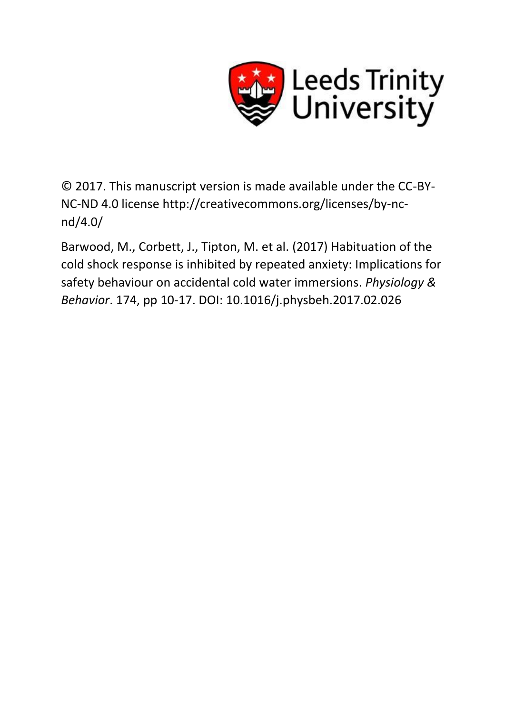

© 2017. This manuscript version is made available under the CC-BY-NC-ND 4.0 license http://creativecommons.org/licenses/by-ncnd/4.0/

Barwood, M., Corbett, J., Tipton, M. et al. (2017) Habituation of the cold shock response is inhibited by repeated anxiety: Implications for safety behaviour on accidental cold water immersions. *Physiology & Behavior*. 174, pp 10-17. DOI: 10.1016/j.physbeh.2017.02.026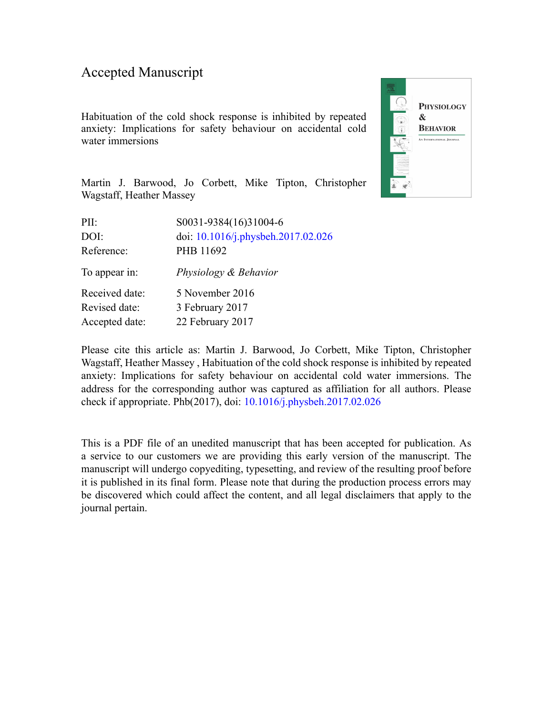### Accepted Manuscript

Habituation of the cold shock response is inhibited by repeated anxiety: Implications for safety behaviour on accidental cold water immersions



Martin J. Barwood, Jo Corbett, Mike Tipton, Christopher Wagstaff, Heather Massey

| S0031-9384(16)31004-6              |
|------------------------------------|
| doi: 10.1016/j.physbeh.2017.02.026 |
| PHB 11692                          |
| Physiology & Behavior              |
| 5 November 2016                    |
| 3 February 2017                    |
| 22 February 2017                   |
|                                    |

Please cite this article as: Martin J. Barwood, Jo Corbett, Mike Tipton, Christopher Wagstaff, Heather Massey , Habituation of the cold shock response is inhibited by repeated anxiety: Implications for safety behaviour on accidental cold water immersions. The address for the corresponding author was captured as affiliation for all authors. Please check if appropriate. Phb(2017), doi: [10.1016/j.physbeh.2017.02.026](http://dx.doi.org/10.1016/j.physbeh.2017.02.026)

This is a PDF file of an unedited manuscript that has been accepted for publication. As a service to our customers we are providing this early version of the manuscript. The manuscript will undergo copyediting, typesetting, and review of the resulting proof before it is published in its final form. Please note that during the production process errors may be discovered which could affect the content, and all legal disclaimers that apply to the journal pertain.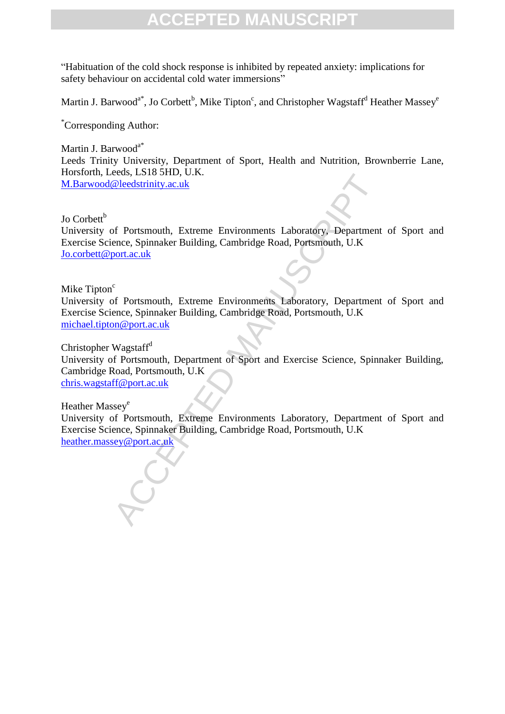"Habituation of the cold shock response is inhibited by repeated anxiety: implications for safety behaviour on accidental cold water immersions"

Martin J. Barwood<sup>a\*</sup>, Jo Corbett<sup>b</sup>, Mike Tipton<sup>c</sup>, and Christopher Wagstaff<sup>d</sup> Heather Massey<sup>e</sup>

\*Corresponding Author:

Martin J. Barwood<sup>a\*</sup> Leeds Trinity University, Department of Sport, Health and Nutrition, Brownberrie Lane, Horsforth, Leeds, LS18 5HD, U.K. [M.Barwood@leedstrinity.ac.uk](mailto:martin.barwood@northumbria.ac.uk)

Jo Corbett $<sup>b</sup>$ </sup>

University of Portsmouth, Extreme Environments Laboratory, Department of Sport and Exercise Science, Spinnaker Building, Cambridge Road, Portsmouth, U.K [Jo.corbett@port.ac.uk](mailto:Jo.corbett@port.ac.uk)

Mike Tipton<sup>c</sup>

University of Portsmouth, Extreme Environments Laboratory, Department of Sport and Exercise Science, Spinnaker Building, Cambridge Road, Portsmouth, U.K [michael.tipton@port.ac.uk](mailto:michael.tipton@port.ac.uk)

Eeus, 1.316 3110, U.K.<br>
Celeedstrinity.ac.uk<br>
fleedstrinity.ac.uk<br>
fleedstrinity.ac.uk<br>
c<br>
c<br>
c<br>
fleedstrinity.ac.uk<br>
c<br>
c<br>
fleedstrinity.ac.uk<br>
c<br>
c<br>
fleedstrinity.ac.uk<br>
wagstafr<sup>d</sup><br>
fleedstrinity. Extreme Environments L Christopher Wagstaff<sup>d</sup> University of Portsmouth, Department of Sport and Exercise Science, Spinnaker Building, Cambridge Road, Portsmouth, U.K [chris.wagstaff@port.ac.uk](mailto:chris.wagstaff@port.ac.uk)

Heather Massey<sup>e</sup>

University of Portsmouth, Extreme Environments Laboratory, Department of Sport and Exercise Science, Spinnaker Building, Cambridge Road, Portsmouth, U.K [heather.massey@port.ac.uk](mailto:heather.massey@port.ac.uk)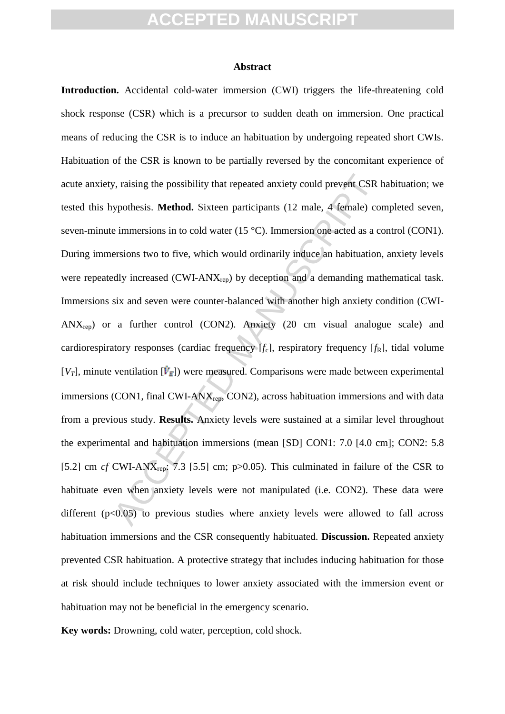#### **Abstract**

y, raising the possibility that repeated anxiety could prevent CSR ypothesis. **Method.** Sixteen participants (12 male, 4 female) co e immersions in to cold water (15 °C). Immersion one acted as a cersions two to five, whi **Introduction.** Accidental cold-water immersion (CWI) triggers the life-threatening cold shock response (CSR) which is a precursor to sudden death on immersion. One practical means of reducing the CSR is to induce an habituation by undergoing repeated short CWIs. Habituation of the CSR is known to be partially reversed by the concomitant experience of acute anxiety, raising the possibility that repeated anxiety could prevent CSR habituation; we tested this hypothesis. **Method.** Sixteen participants (12 male, 4 female) completed seven, seven-minute immersions in to cold water (15 °C). Immersion one acted as a control (CON1). During immersions two to five, which would ordinarily induce an habituation, anxiety levels were repeatedly increased (CWI-ANX<sub>rep</sub>) by deception and a demanding mathematical task. Immersions six and seven were counter-balanced with another high anxiety condition (CWI- $ANX_{rep}$  or a further control (CON2). Anxiety (20 cm visual analogue scale) and cardiorespiratory responses (cardiac frequency  $[f_c]$ , respiratory frequency  $[f_R]$ , tidal volume  $[V_T]$ , minute ventilation  $[\dot{V}_E]$ ) were measured. Comparisons were made between experimental immersions (CON1, final CWI-ANX<sub>rep</sub>, CON2), across habituation immersions and with data from a previous study. **Results.** Anxiety levels were sustained at a similar level throughout the experimental and habituation immersions (mean [SD] CON1: 7.0 [4.0 cm]; CON2: 5.8 [5.2] cm *cf* CWI-AN $X_{rep}$ : 7.3 [5.5] cm; p>0.05). This culminated in failure of the CSR to habituate even when anxiety levels were not manipulated (i.e. CON2). These data were different  $(p<0.05)$  to previous studies where anxiety levels were allowed to fall across habituation immersions and the CSR consequently habituated. **Discussion.** Repeated anxiety prevented CSR habituation. A protective strategy that includes inducing habituation for those at risk should include techniques to lower anxiety associated with the immersion event or habituation may not be beneficial in the emergency scenario.

**Key words:** Drowning, cold water, perception, cold shock.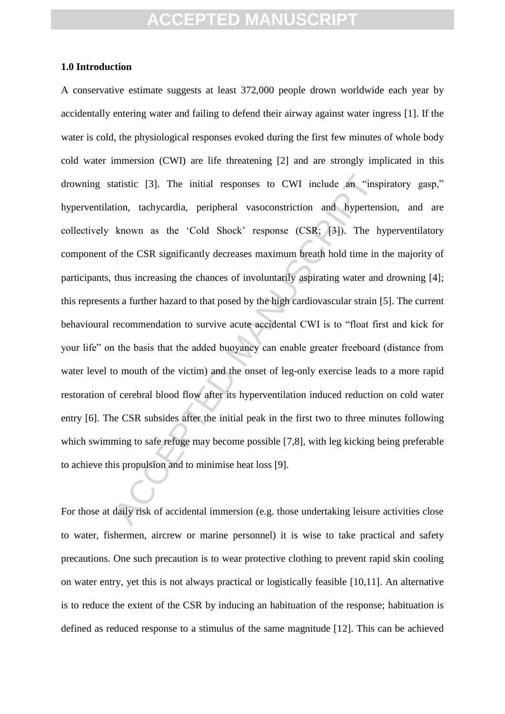#### **1.0 Introduction**

tatistic [3]. The initial responses to CWI include an "insprise tion, tachycardia, peripheral vasoconstriction and hypertens known as the 'Cold Shock' response (CSR; [3]). The h of the CSR significantly decreases maximum b A conservative estimate suggests at least 372,000 people drown worldwide each year by accidentally entering water and failing to defend their airway against water ingress [1]. If the water is cold, the physiological responses evoked during the first few minutes of whole body cold water immersion (CWI) are life threatening [2] and are strongly implicated in this drowning statistic [3]. The initial responses to CWI include an "inspiratory gasp," hyperventilation, tachycardia, peripheral vasoconstriction and hypertension, and are collectively known as the "Cold Shock" response (CSR; [3]). The hyperventilatory component of the CSR significantly decreases maximum breath hold time in the majority of participants, thus increasing the chances of involuntarily aspirating water and drowning [4]; this represents a further hazard to that posed by the high cardiovascular strain [5]. The current behavioural recommendation to survive acute accidental CWI is to "float first and kick for your life" on the basis that the added buoyancy can enable greater freeboard (distance from water level to mouth of the victim) and the onset of leg-only exercise leads to a more rapid restoration of cerebral blood flow after its hyperventilation induced reduction on cold water entry [6]. The CSR subsides after the initial peak in the first two to three minutes following which swimming to safe refuge may become possible [7,8], with leg kicking being preferable to achieve this propulsion and to minimise heat loss [9].

For those at daily risk of accidental immersion (e.g. those undertaking leisure activities close to water, fishermen, aircrew or marine personnel) it is wise to take practical and safety precautions. One such precaution is to wear protective clothing to prevent rapid skin cooling on water entry, yet this is not always practical or logistically feasible [10,11]. An alternative is to reduce the extent of the CSR by inducing an habituation of the response; habituation is defined as reduced response to a stimulus of the same magnitude [12]. This can be achieved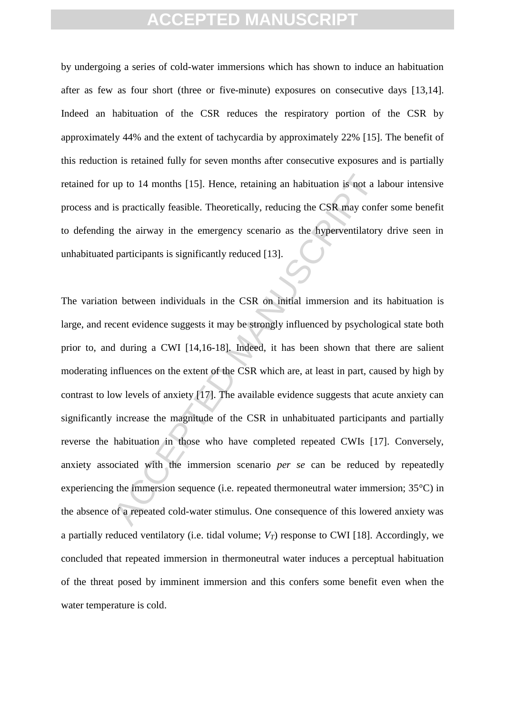by undergoing a series of cold-water immersions which has shown to induce an habituation after as few as four short (three or five-minute) exposures on consecutive days [13,14]. Indeed an habituation of the CSR reduces the respiratory portion of the CSR by approximately 44% and the extent of tachycardia by approximately 22% [15]. The benefit of this reduction is retained fully for seven months after consecutive exposures and is partially retained for up to 14 months [15]. Hence, retaining an habituation is not a labour intensive process and is practically feasible. Theoretically, reducing the CSR may confer some benefit to defending the airway in the emergency scenario as the hyperventilatory drive seen in unhabituated participants is significantly reduced [13].

up to 14 months [15]. Hence, retaining an habituation is not a la<br>is practically feasible. Theoretically, reducing the CSR may conference<br>the airway in the emergency scenario as the hyperventilatory<br>participants is signifi The variation between individuals in the CSR on initial immersion and its habituation is large, and recent evidence suggests it may be strongly influenced by psychological state both prior to, and during a CWI [14,16-18]. Indeed, it has been shown that there are salient moderating influences on the extent of the CSR which are, at least in part, caused by high by contrast to low levels of anxiety [17]. The available evidence suggests that acute anxiety can significantly increase the magnitude of the CSR in unhabituated participants and partially reverse the habituation in those who have completed repeated CWIs [17]. Conversely, anxiety associated with the immersion scenario *per se* can be reduced by repeatedly experiencing the immersion sequence (i.e. repeated thermoneutral water immersion; 35°C) in the absence of a repeated cold-water stimulus. One consequence of this lowered anxiety was a partially reduced ventilatory (i.e. tidal volume;  $V_T$ ) response to CWI [18]. Accordingly, we concluded that repeated immersion in thermoneutral water induces a perceptual habituation of the threat posed by imminent immersion and this confers some benefit even when the water temperature is cold.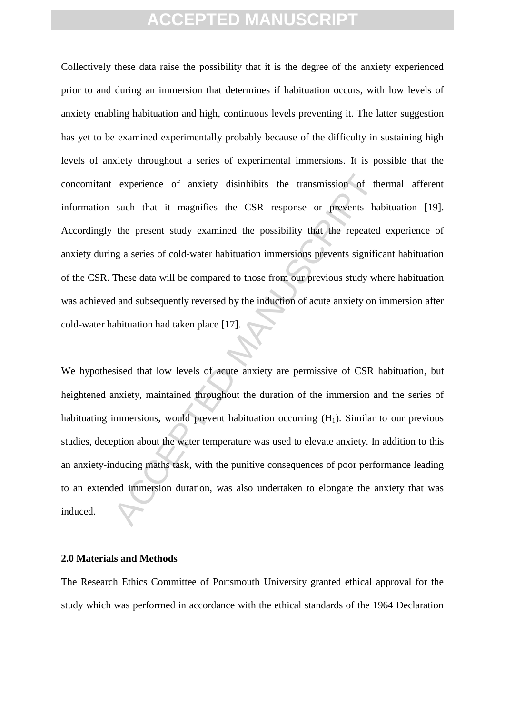experience of anxiety disinhibits the transmission of the such that it magnifies the CSR response or prevents has the present study examined the possibility that the repeated ag a series of cold-water habituation immersion Collectively these data raise the possibility that it is the degree of the anxiety experienced prior to and during an immersion that determines if habituation occurs, with low levels of anxiety enabling habituation and high, continuous levels preventing it. The latter suggestion has yet to be examined experimentally probably because of the difficulty in sustaining high levels of anxiety throughout a series of experimental immersions. It is possible that the concomitant experience of anxiety disinhibits the transmission of thermal afferent information such that it magnifies the CSR response or prevents habituation [19]. Accordingly the present study examined the possibility that the repeated experience of anxiety during a series of cold-water habituation immersions prevents significant habituation of the CSR. These data will be compared to those from our previous study where habituation was achieved and subsequently reversed by the induction of acute anxiety on immersion after cold-water habituation had taken place [17].

We hypothesised that low levels of acute anxiety are permissive of CSR habituation, but heightened anxiety, maintained throughout the duration of the immersion and the series of habituating immersions, would prevent habituation occurring  $(H_1)$ . Similar to our previous studies, deception about the water temperature was used to elevate anxiety. In addition to this an anxiety-inducing maths task, with the punitive consequences of poor performance leading to an extended immersion duration, was also undertaken to elongate the anxiety that was induced.

#### **2.0 Materials and Methods**

The Research Ethics Committee of Portsmouth University granted ethical approval for the study which was performed in accordance with the ethical standards of the 1964 Declaration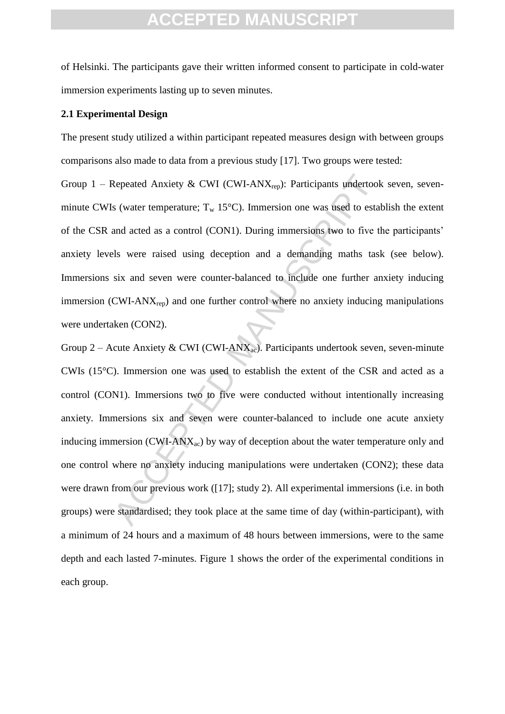of Helsinki. The participants gave their written informed consent to participate in cold-water immersion experiments lasting up to seven minutes.

#### **2.1 Experimental Design**

The present study utilized a within participant repeated measures design with between groups comparisons also made to data from a previous study [17]. Two groups were tested:

Group 1 – Repeated Anxiety & CWI (CWI-ANX<sub>rep</sub>): Participants undertook seven, sevenminute CWIs (water temperature;  $T_w$  15°C). Immersion one was used to establish the extent of the CSR and acted as a control (CON1). During immersions two to five the participants" anxiety levels were raised using deception and a demanding maths task (see below). Immersions six and seven were counter-balanced to include one further anxiety inducing immersion (CWI-AN $X_{\text{rep}}$ ) and one further control where no anxiety inducing manipulations were undertaken (CON2).

Repeated Anxiety & CWI (CWI-ANX<sub>rep</sub>): Participants undertook<br>s (water temperature;  $T_w$  15°C). Immersion one was used to estal<br>and acted as a control (CON1). During immersions two to five the<br>six were raised using decept Group 2 – Acute Anxiety & CWI (CWI-ANX<sub>ac</sub>). Participants undertook seven, seven-minute CWIs (15°C). Immersion one was used to establish the extent of the CSR and acted as a control (CON1). Immersions two to five were conducted without intentionally increasing anxiety. Immersions six and seven were counter-balanced to include one acute anxiety inducing immersion (CWI-AN $X_{ac}$ ) by way of deception about the water temperature only and one control where no anxiety inducing manipulations were undertaken (CON2); these data were drawn from our previous work ([17]; study 2). All experimental immersions (i.e. in both groups) were standardised; they took place at the same time of day (within-participant), with a minimum of 24 hours and a maximum of 48 hours between immersions, were to the same depth and each lasted 7-minutes. Figure 1 shows the order of the experimental conditions in each group.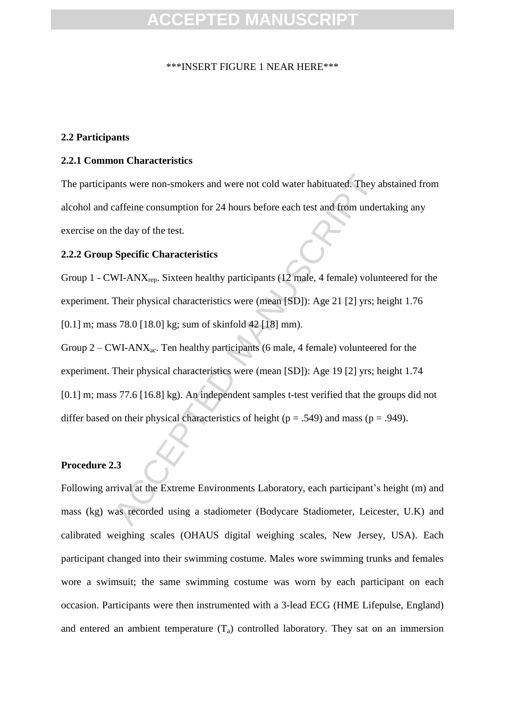#### \*\*\*INSERT FIGURE 1 NEAR HERE\*\*\*

### **2.2 Participants**

#### **2.2.1 Common Characteristics**

The participants were non-smokers and were not cold water habituated. They abstained from alcohol and caffeine consumption for 24 hours before each test and from undertaking any exercise on the day of the test.

#### **2.2.2 Group Specific Characteristics**

Group 1 - CWI-AN $X_{\text{ren}}$ . Sixteen healthy participants (12 male, 4 female) volunteered for the experiment. Their physical characteristics were (mean [SD]): Age 21 [2] yrs; height 1.76 [0.1] m; mass 78.0 [18.0] kg; sum of skinfold 42 [18] mm).

ants were non-smokers and were not cold water habituated. They a<br>caffeine consumption for 24 hours before each test and from under<br>he day of the test.<br>**Specific Characteristics**<br>WI-ANX<sub>rep</sub>. Sixteen healthy participants (1 Group  $2 - \text{CWI-}\text{ANX}_{ac}$ . Ten healthy participants (6 male, 4 female) volunteered for the experiment. Their physical characteristics were (mean [SD]): Age 19 [2] yrs; height 1.74 [0.1] m; mass 77.6 [16.8] kg). An independent samples t-test verified that the groups did not differ based on their physical characteristics of height ( $p = .549$ ) and mass ( $p = .949$ ).

#### **Procedure 2.3**

Following arrival at the Extreme Environments Laboratory, each participant's height (m) and mass (kg) was recorded using a stadiometer (Bodycare Stadiometer, Leicester, U.K) and calibrated weighing scales (OHAUS digital weighing scales, New Jersey, USA). Each participant changed into their swimming costume. Males wore swimming trunks and females wore a swimsuit; the same swimming costume was worn by each participant on each occasion. Participants were then instrumented with a 3-lead ECG (HME Lifepulse, England) and entered an ambient temperature  $(T_a)$  controlled laboratory. They sat on an immersion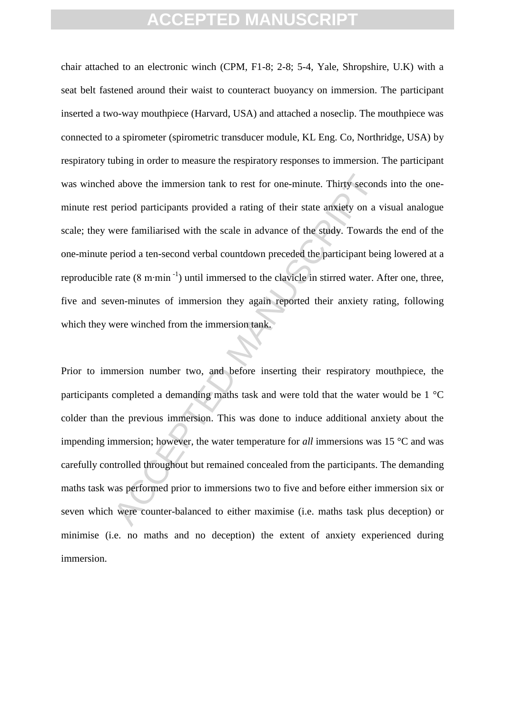chair attached to an electronic winch (CPM, F1-8; 2-8; 5-4, Yale, Shropshire, U.K) with a seat belt fastened around their waist to counteract buoyancy on immersion. The participant inserted a two-way mouthpiece (Harvard, USA) and attached a noseclip. The mouthpiece was connected to a spirometer (spirometric transducer module, KL Eng. Co, Northridge, USA) by respiratory tubing in order to measure the respiratory responses to immersion. The participant was winched above the immersion tank to rest for one-minute. Thirty seconds into the oneminute rest period participants provided a rating of their state anxiety on a visual analogue scale; they were familiarised with the scale in advance of the study. Towards the end of the one-minute period a ten-second verbal countdown preceded the participant being lowered at a reproducible rate  $(8 \text{ m}\cdot\text{min}^{-1})$  until immersed to the clavicle in stirred water. After one, three, five and seven-minutes of immersion they again reported their anxiety rating, following which they were winched from the immersion tank.

and a bove the immersion tank to rest for one-minute. Thirty second<br>period participants provided a rating of their state anxiety on a v<br>sere familiarised with the scale in advance of the study. Towards<br>period a ten-second Prior to immersion number two, and before inserting their respiratory mouthpiece, the participants completed a demanding maths task and were told that the water would be 1 °C colder than the previous immersion. This was done to induce additional anxiety about the impending immersion; however, the water temperature for *all* immersions was 15 °C and was carefully controlled throughout but remained concealed from the participants. The demanding maths task was performed prior to immersions two to five and before either immersion six or seven which were counter-balanced to either maximise (i.e. maths task plus deception) or minimise (i.e. no maths and no deception) the extent of anxiety experienced during immersion.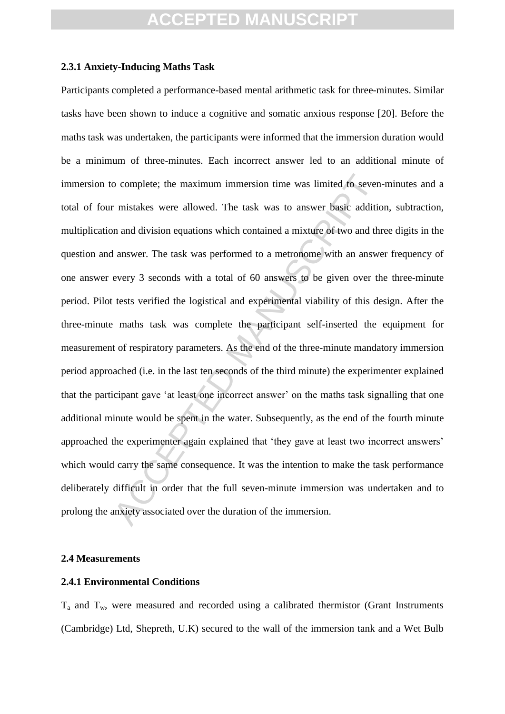#### **2.3.1 Anxiety-Inducing Maths Task**

o complete; the maximum immersion time was limited to seven<br>
r mistakes were allowed. The task was to answer basic addition<br>
and division equations which contained a mixture of two and the<br>
lanswer. The task was performed Participants completed a performance-based mental arithmetic task for three-minutes. Similar tasks have been shown to induce a cognitive and somatic anxious response [20]. Before the maths task was undertaken, the participants were informed that the immersion duration would be a minimum of three-minutes. Each incorrect answer led to an additional minute of immersion to complete; the maximum immersion time was limited to seven-minutes and a total of four mistakes were allowed. The task was to answer basic addition, subtraction, multiplication and division equations which contained a mixture of two and three digits in the question and answer. The task was performed to a metronome with an answer frequency of one answer every 3 seconds with a total of 60 answers to be given over the three-minute period. Pilot tests verified the logistical and experimental viability of this design. After the three-minute maths task was complete the participant self-inserted the equipment for measurement of respiratory parameters. As the end of the three-minute mandatory immersion period approached (i.e. in the last ten seconds of the third minute) the experimenter explained that the participant gave "at least one incorrect answer" on the maths task signalling that one additional minute would be spent in the water. Subsequently, as the end of the fourth minute approached the experimenter again explained that "they gave at least two incorrect answers" which would carry the same consequence. It was the intention to make the task performance deliberately difficult in order that the full seven-minute immersion was undertaken and to prolong the anxiety associated over the duration of the immersion.

#### **2.4 Measurements**

### **2.4.1 Environmental Conditions**

 $T_a$  and  $T_w$ , were measured and recorded using a calibrated thermistor (Grant Instruments (Cambridge) Ltd, Shepreth, U.K) secured to the wall of the immersion tank and a Wet Bulb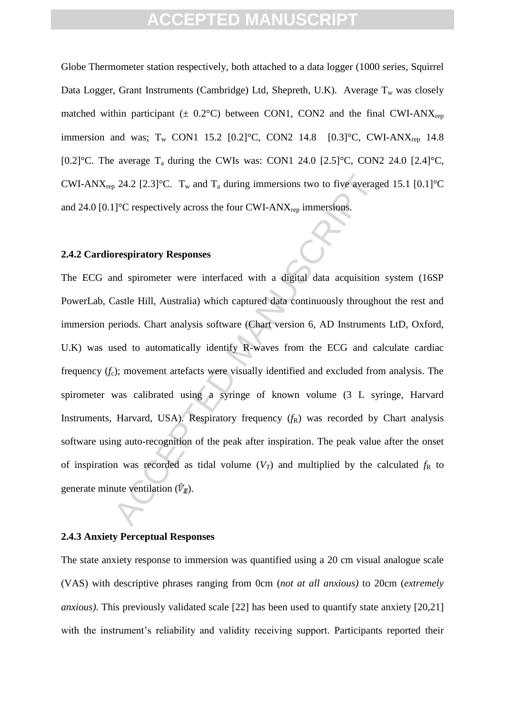Globe Thermometer station respectively, both attached to a data logger (1000 series, Squirrel Data Logger, Grant Instruments (Cambridge) Ltd, Shepreth, U.K). Average  $T_w$  was closely matched within participant ( $\pm$  0.2°C) between CON1, CON2 and the final CWI-ANX<sub>rep</sub> immersion and was;  $T_w$  CON1 15.2 [0.2]°C, CON2 14.8 [0.3]°C, CWI-ANX<sub>rep</sub> 14.8 [0.2] $^{\circ}$ C. The average T<sub>a</sub> during the CWIs was: CON1 24.0 [2.5] $^{\circ}$ C, CON2 24.0 [2.4] $^{\circ}$ C, CWI-ANX<sub>rep</sub> 24.2 [2.3]<sup>o</sup>C. T<sub>w</sub> and T<sub>a</sub> during immersions two to five averaged 15.1 [0.1]<sup>o</sup>C and 24.0  $[0.1]$ <sup>o</sup>C respectively across the four CWI-ANX<sub>rep</sub> immersions.

#### **2.4.2 Cardiorespiratory Responses**

brane 24.2 [2.3]<sup>o</sup>C. T<sub>w</sub> and T<sub>a</sub> during immersions two to five average [<sup>2</sup>C respectively across the four CWI-ANX<sub>rep</sub> immersions.<br> **OF THE MANUSCRIPT MANUSCRIPT MANUSCRIPT MANUSCRIPT MANUSCRIPT MANUSCRIPT MANUSCRIPT M** The ECG and spirometer were interfaced with a digital data acquisition system (16SP PowerLab, Castle Hill, Australia) which captured data continuously throughout the rest and immersion periods. Chart analysis software (Chart version 6, AD Instruments LtD, Oxford, U.K) was used to automatically identify R-waves from the ECG and calculate cardiac frequency  $(f_c)$ ; movement artefacts were visually identified and excluded from analysis. The spirometer was calibrated using a syringe of known volume (3 L syringe, Harvard Instruments, Harvard, USA). Respiratory frequency ( $f<sub>R</sub>$ ) was recorded by Chart analysis software using auto-recognition of the peak after inspiration. The peak value after the onset of inspiration was recorded as tidal volume  $(V_T)$  and multiplied by the calculated  $f_R$  to generate minute ventilation  $(\dot{V}_F)$ .

#### **2.4.3 Anxiety Perceptual Responses**

The state anxiety response to immersion was quantified using a 20 cm visual analogue scale (VAS) with descriptive phrases ranging from 0cm (*not at all anxious)* to 20cm (*extremely anxious)*. This previously validated scale [22] has been used to quantify state anxiety [20,21] with the instrument's reliability and validity receiving support. Participants reported their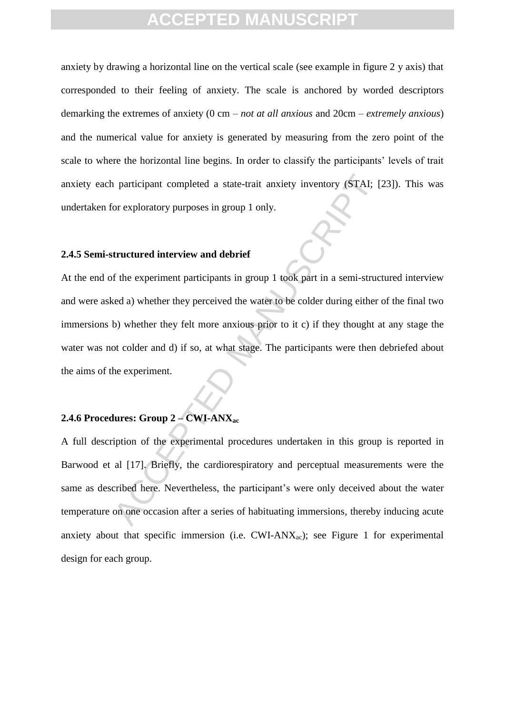anxiety by drawing a horizontal line on the vertical scale (see example in figure 2 y axis) that corresponded to their feeling of anxiety. The scale is anchored by worded descriptors demarking the extremes of anxiety (0 cm – *not at all anxious* and 20cm – *extremely anxious*) and the numerical value for anxiety is generated by measuring from the zero point of the scale to where the horizontal line begins. In order to classify the participants' levels of trait anxiety each participant completed a state-trait anxiety inventory (STAI; [23]). This was undertaken for exploratory purposes in group 1 only.

#### **2.4.5 Semi-structured interview and debrief**

Acceleration of the experimental and the experiment of the experiment participants in group 1 only.<br>
Acceleration of the experiment participants in group 1 took part in a semi-structured a) whether they perceived the wate At the end of the experiment participants in group 1 took part in a semi-structured interview and were asked a) whether they perceived the water to be colder during either of the final two immersions b) whether they felt more anxious prior to it c) if they thought at any stage the water was not colder and d) if so, at what stage. The participants were then debriefed about the aims of the experiment.

### **2.4.6 Procedures: Group 2 – CWI-ANXac**

A full description of the experimental procedures undertaken in this group is reported in Barwood et al [17]. Briefly, the cardiorespiratory and perceptual measurements were the same as described here. Nevertheless, the participant's were only deceived about the water temperature on one occasion after a series of habituating immersions, thereby inducing acute anxiety about that specific immersion (i.e.  $CWI-ANX_{ac}$ ); see Figure 1 for experimental design for each group.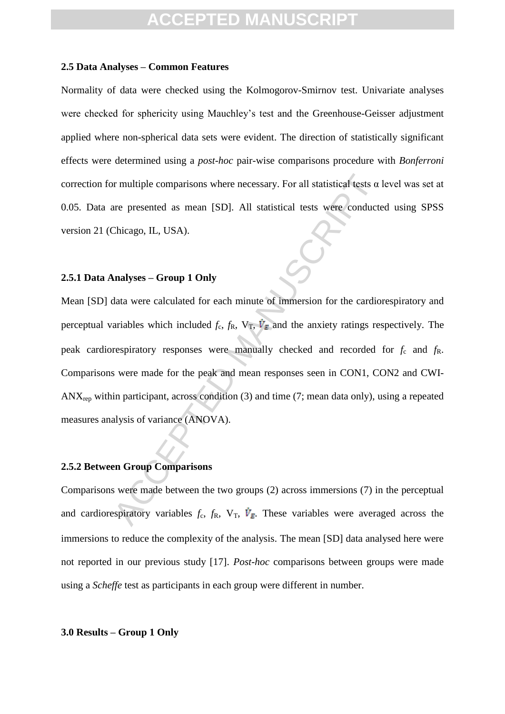#### **2.5 Data Analyses – Common Features**

Normality of data were checked using the Kolmogorov-Smirnov test. Univariate analyses were checked for sphericity using Mauchley"s test and the Greenhouse-Geisser adjustment applied where non-spherical data sets were evident. The direction of statistically significant effects were determined using a *post-hoc* pair-wise comparisons procedure with *Bonferroni* correction for multiple comparisons where necessary. For all statistical tests α level was set at 0.05. Data are presented as mean [SD]. All statistical tests were conducted using SPSS version 21 (Chicago, IL, USA).

### **2.5.1 Data Analyses – Group 1 Only**

or multiple comparisons where necessary. For all statistical tests  $\alpha$ <br>are presented as mean [SD]. All statistical tests were conducte<br>Chicago, IL, USA).<br>**analyses – Group 1 Only**<br>data were calculated for each minute of Mean [SD] data were calculated for each minute of immersion for the cardiorespiratory and perceptual variables which included  $f_c$ ,  $f_R$ ,  $V_T$ ,  $\dot{V}_E$  and the anxiety ratings respectively. The peak cardiorespiratory responses were manually checked and recorded for  $f_c$  and  $f_R$ . Comparisons were made for the peak and mean responses seen in CON1, CON2 and CWI- $ANX_{\text{rep}}$  within participant, across condition (3) and time (7; mean data only), using a repeated measures analysis of variance (ANOVA).

#### **2.5.2 Between Group Comparisons**

Comparisons were made between the two groups (2) across immersions (7) in the perceptual and cardiorespiratory variables  $f_c$ ,  $f_R$ ,  $V_T$ ,  $\dot{V}_F$ . These variables were averaged across the immersions to reduce the complexity of the analysis. The mean [SD] data analysed here were not reported in our previous study [17]. *Post-hoc* comparisons between groups were made using a *Scheffe* test as participants in each group were different in number.

#### **3.0 Results – Group 1 Only**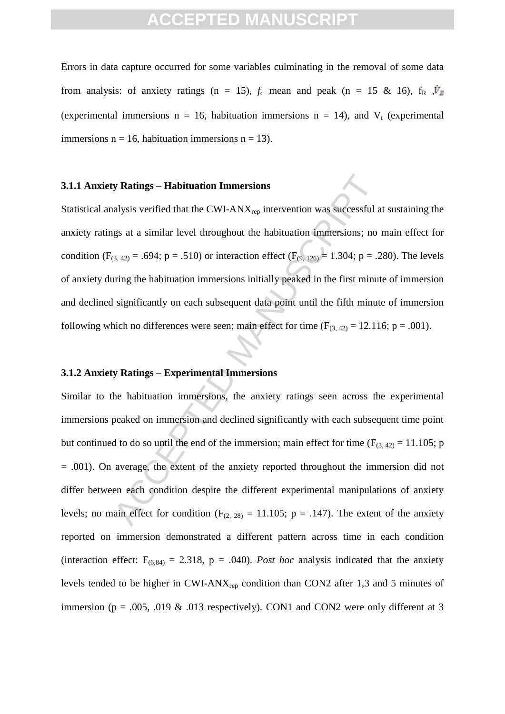Errors in data capture occurred for some variables culminating in the removal of some data from analysis: of anxiety ratings (n = 15),  $f_c$  mean and peak (n = 15 & 16),  $f_R$ ,  $\dot{V}_F$ (experimental immersions  $n = 16$ , habituation immersions  $n = 14$ ), and  $V_t$  (experimental immersions  $n = 16$ , habituation immersions  $n = 13$ ).

#### **3.1.1 Anxiety Ratings – Habituation Immersions**

Statistical analysis verified that the CWI-ANX<sub>rep</sub> intervention was successful at sustaining the anxiety ratings at a similar level throughout the habituation immersions; no main effect for condition (F<sub>(3, 42)</sub> = .694; p = .510) or interaction effect (F<sub>(9, 126)</sub> = 1.304; p = .280). The levels of anxiety during the habituation immersions initially peaked in the first minute of immersion and declined significantly on each subsequent data point until the fifth minute of immersion following which no differences were seen; main effect for time  $(F_{(3, 42)} = 12.116; p = .001)$ .

### **3.1.2 Anxiety Ratings – Experimental Immersions**

**y Ratings – Habituation Immersions**<br>alysis verified that the CWI-ANX<sub>rep</sub> intervention was successful a<br>gs at a similar level throughout the habituation immersions; no<br> $(3,42) = .694$ ;  $p = .510$ ) or interaction effect ( $F_{($ Similar to the habituation immersions, the anxiety ratings seen across the experimental immersions peaked on immersion and declined significantly with each subsequent time point but continued to do so until the end of the immersion; main effect for time ( $F_{(3, 42)} = 11.105$ ; p = .001). On average, the extent of the anxiety reported throughout the immersion did not differ between each condition despite the different experimental manipulations of anxiety levels; no main effect for condition ( $F_{(2, 28)} = 11.105$ ; p = .147). The extent of the anxiety reported on immersion demonstrated a different pattern across time in each condition (interaction effect:  $F_{(6,84)} = 2.318$ ,  $p = .040$ ). *Post hoc* analysis indicated that the anxiety levels tended to be higher in CWI-ANXrep condition than CON2 after 1,3 and 5 minutes of immersion ( $p = .005, .019 \& .013$  respectively). CON1 and CON2 were only different at 3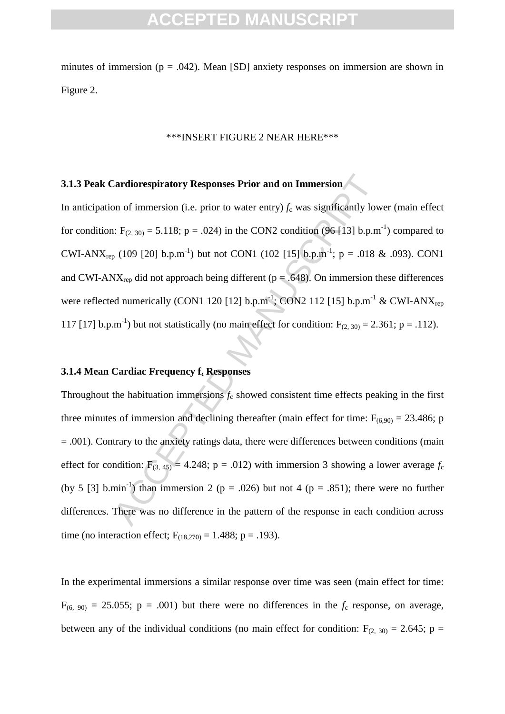minutes of immersion ( $p = .042$ ). Mean [SD] anxiety responses on immersion are shown in Figure 2.

#### \*\*\*INSERT FIGURE 2 NEAR HERE\*\*\*

### **3.1.3 Peak Cardiorespiratory Responses Prior and on Immersion**

In anticipation of immersion (i.e. prior to water entry)  $f_c$  was significantly lower (main effect for condition:  $F_{(2, 30)} = 5.118$ ; p = .024) in the CON2 condition (96 [13] b.p.m<sup>-1</sup>) compared to CWI-ANX<sub>rep</sub> (109 [20] b.p.m<sup>-1</sup>) but not CON1 (102 [15] b.p.m<sup>-1</sup>; p = .018 & .093). CON1 and CWI-ANX<sub>rep</sub> did not approach being different ( $p = .648$ ). On immersion these differences were reflected numerically (CON1 120 [12] b.p.m<sup>-1</sup>; CON2 112 [15] b.p.m<sup>-1</sup> & CWI-ANX<sub>rep</sub> 117 [17] b.p.m<sup>-1</sup>) but not statistically (no main effect for condition:  $F_{(2, 30)} = 2.361$ ; p = .112).

#### **3.1.4 Mean Cardiac Frequency fc Responses**

Cardiorespiratory Responses Prior and on Immersion<br>on of immersion (i.e. prior to water entry)  $f_c$  was significantly low<br>i. F<sub>(2, 30)</sub> = 5.118; p = .024) in the CON2 condition (96 [13] b.p.m<br> $_0$  (109 [20] b.p.m<sup>-1</sup>) but Throughout the habituation immersions  $f_c$  showed consistent time effects peaking in the first three minutes of immersion and declining thereafter (main effect for time:  $F_{(6,90)} = 23.486$ ; p = .001). Contrary to the anxiety ratings data, there were differences between conditions (main effect for condition:  $F_{(3, 45)} = 4.248$ ; p = .012) with immersion 3 showing a lower average  $f_c$ (by 5 [3] b.min<sup>-1</sup>) than immersion 2 ( $p = .026$ ) but not 4 ( $p = .851$ ); there were no further differences. There was no difference in the pattern of the response in each condition across time (no interaction effect;  $F_{(18,270)} = 1.488$ ; p = .193).

In the experimental immersions a similar response over time was seen (main effect for time:  $F_{(6, 90)} = 25.055$ ; p = .001) but there were no differences in the  $f_c$  response, on average, between any of the individual conditions (no main effect for condition:  $F_{(2, 30)} = 2.645$ ; p =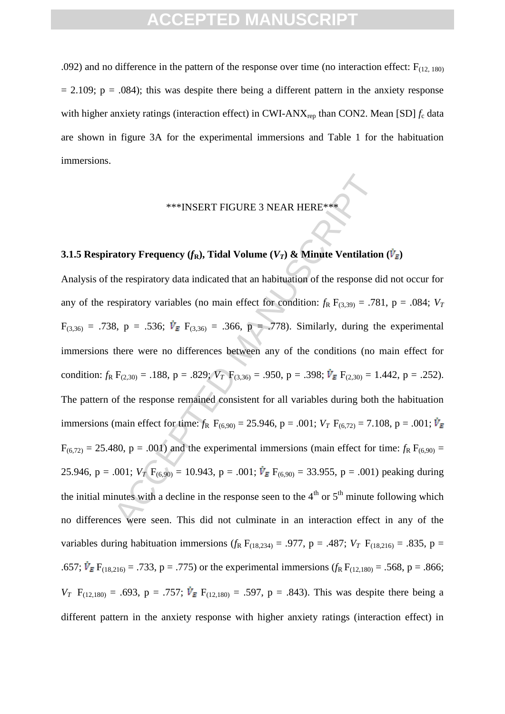.092) and no difference in the pattern of the response over time (no interaction effect:  $F_{(12, 180)}$ )  $= 2.109$ ;  $p = .084$ ); this was despite there being a different pattern in the anxiety response with higher anxiety ratings (interaction effect) in CWI-ANX<sub>rep</sub> than CON2. Mean [SD]  $f_c$  data are shown in figure 3A for the experimental immersions and Table 1 for the habituation immersions.

# \*\*\*INSERT FIGURE 3 NEAR HERE\*\*\*

### **3.1.5 Respiratory Frequency (** $f_R$ **), Tidal Volume (** $V_T$ **) & Minute Ventilation (** $\dot{V}_E$ **)**

<sup>888</sup>INSERT FIGURE 3 NEAR HERE<sup>848</sup><br>
Actory Frequency (f<sub>R</sub>), Tidal Volume ( $V_T$ ) & Minute Ventilation<br>
the respiratory data indicated that an habituation of the response dispiratory variables (no main effect for conditio Analysis of the respiratory data indicated that an habituation of the response did not occur for any of the respiratory variables (no main effect for condition:  $f_R F_{(3,39)} = .781$ , p = .084;  $V_T$  $F_{(3,36)} = .738$ , p = .536;  $\dot{V}_E$   $F_{(3,36)} = .366$ , p = .778). Similarly, during the experimental immersions there were no differences between any of the conditions (no main effect for condition:  $f_R$  F<sub>(2,30)</sub> = .188, p = .829;  $V_T$  F<sub>(3,36)</sub> = .950, p = .398;  $\dot{V}_E$  F<sub>(2,30)</sub> = 1.442, p = .252). The pattern of the response remained consistent for all variables during both the habituation immersions (main effect for time:  $f_R$  F<sub>(6,90)</sub> = 25.946, p = .001;  $V_T$  F<sub>(6,72)</sub> = 7.108, p = .001;  $V_E$  $F_{(6,72)} = 25.480$ ,  $p = .001$ ) and the experimental immersions (main effect for time:  $f_R F_{(6,90)} =$ 25.946, p = .001;  $V_T$  F<sub>(6,90)</sub> = 10.943, p = .001;  $V_E$  F<sub>(6,90)</sub> = 33.955, p = .001) peaking during the initial minutes with a decline in the response seen to the  $4<sup>th</sup>$  or  $5<sup>th</sup>$  minute following which no differences were seen. This did not culminate in an interaction effect in any of the variables during habituation immersions ( $f_R$  F<sub>(18,234)</sub> = .977, p = .487;  $V_T$  F<sub>(18,216)</sub> = .835, p = .657;  $\dot{V}_E F_{(18,216)} = .733$ , p = .775) or the experimental immersions ( $f_R F_{(12,180)} = .568$ , p = .866;  $V_T$  F<sub>(12,180)</sub> = .693, p = .757;  $\dot{V}_E$  F<sub>(12,180)</sub> = .597, p = .843). This was despite there being a different pattern in the anxiety response with higher anxiety ratings (interaction effect) in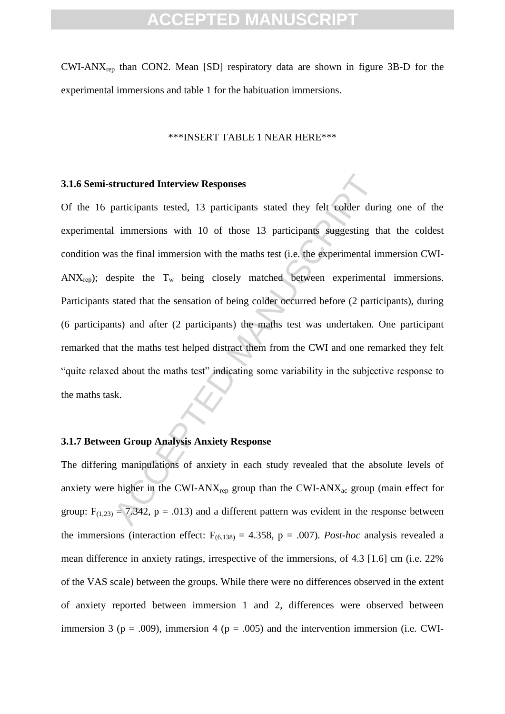$CWI-ANY<sub>ren</sub>$  than  $CON2$ . Mean  $[SD]$  respiratory data are shown in figure 3B-D for the experimental immersions and table 1 for the habituation immersions.

#### \*\*\*INSERT TABLE 1 NEAR HERE\*\*\*

#### **3.1.6 Semi-structured Interview Responses**

**tructured Interview Responses**<br>participants tested, 13 participants stated they felt colder duri<br>1 immersions with 10 of those 13 participants suggesting the<br>sets in the final immersion with the maths test (i.e. the expe Of the 16 participants tested, 13 participants stated they felt colder during one of the experimental immersions with 10 of those 13 participants suggesting that the coldest condition was the final immersion with the maths test (i.e. the experimental immersion CWI- $ANX_{ren}$ ; despite the  $T_w$  being closely matched between experimental immersions. Participants stated that the sensation of being colder occurred before (2 participants), during (6 participants) and after (2 participants) the maths test was undertaken. One participant remarked that the maths test helped distract them from the CWI and one remarked they felt "quite relaxed about the maths test" indicating some variability in the subjective response to the maths task.

### **3.1.7 Between Group Analysis Anxiety Response**

The differing manipulations of anxiety in each study revealed that the absolute levels of anxiety were higher in the CWI-AN $X_{\text{rep}}$  group than the CWI-AN $X_{\text{ac}}$  group (main effect for group:  $F_{(1,23)} = 7.342$ ,  $p = .013$ ) and a different pattern was evident in the response between the immersions (interaction effect:  $F_{(6,138)} = 4.358$ ,  $p = .007$ ). *Post-hoc* analysis revealed a mean difference in anxiety ratings, irrespective of the immersions, of 4.3 [1.6] cm (i.e. 22% of the VAS scale) between the groups. While there were no differences observed in the extent of anxiety reported between immersion 1 and 2, differences were observed between immersion 3 ( $p = .009$ ), immersion 4 ( $p = .005$ ) and the intervention immersion (i.e. CWI-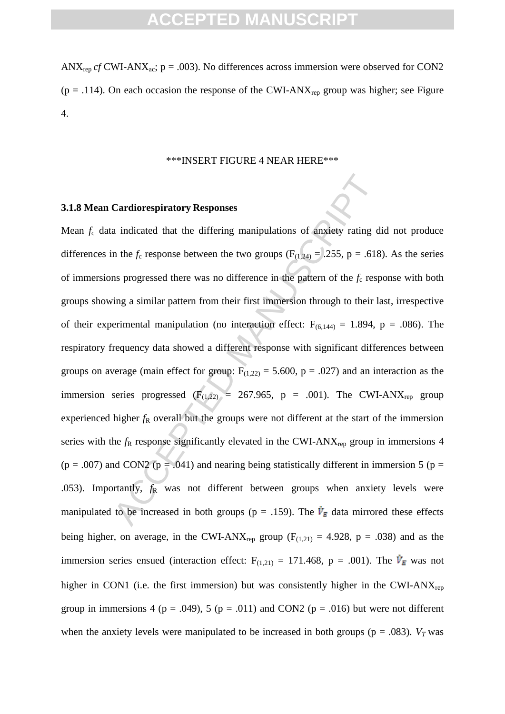ANX<sub>rep</sub>  $cf$  CWI-ANX<sub>ac</sub>;  $p = .003$ ). No differences across immersion were observed for CON2 ( $p = .114$ ). On each occasion the response of the CWI-ANX<sub>rep</sub> group was higher; see Figure 4.

#### \*\*\*INSERT FIGURE 4 NEAR HERE\*\*\*

#### **3.1.8 Mean Cardiorespiratory Responses**

**Cardiorespiratory Responses**<br>
a indicated that the differing manipulations of anxiety rating d<br>
n the  $f_c$  response between the two groups ( $F_{(1,24)} = .255$ ,  $p = .618$ <br>
as progressed there was no difference in the pattern Mean  $f_c$  data indicated that the differing manipulations of anxiety rating did not produce differences in the  $f_c$  response between the two groups ( $F_{(1,24)} = .255$ , p = .618). As the series of immersions progressed there was no difference in the pattern of the *f*<sup>c</sup> response with both groups showing a similar pattern from their first immersion through to their last, irrespective of their experimental manipulation (no interaction effect:  $F_{(6,144)} = 1.894$ , p = .086). The respiratory frequency data showed a different response with significant differences between groups on average (main effect for group:  $F_{(1,22)} = 5.600$ , p = .027) and an interaction as the immersion series progressed ( $F_{(1,22)} = 267.965$ , p = .001). The CWI-ANX<sub>rep</sub> group experienced higher  $f_R$  overall but the groups were not different at the start of the immersion series with the  $f_R$  response significantly elevated in the CWI-ANX<sub>rep</sub> group in immersions 4 ( $p = .007$ ) and CON2 ( $p = .041$ ) and nearing being statistically different in immersion 5 ( $p =$ .053). Importantly,  $f_R$  was not different between groups when anxiety levels were manipulated to be increased in both groups (p = .159). The  $\dot{V}_E$  data mirrored these effects being higher, on average, in the CWI-ANX<sub>rep</sub> group ( $F_{(1,21)} = 4.928$ , p = .038) and as the immersion series ensued (interaction effect:  $F_{(1,21)} = 171.468$ , p = .001). The  $\dot{V}_E$  was not higher in CON1 (i.e. the first immersion) but was consistently higher in the CWI-AN $X_{\text{rep}}$ group in immersions 4 ( $p = .049$ ), 5 ( $p = .011$ ) and CON2 ( $p = .016$ ) but were not different when the anxiety levels were manipulated to be increased in both groups ( $p = .083$ ). *V<sub>T</sub>* was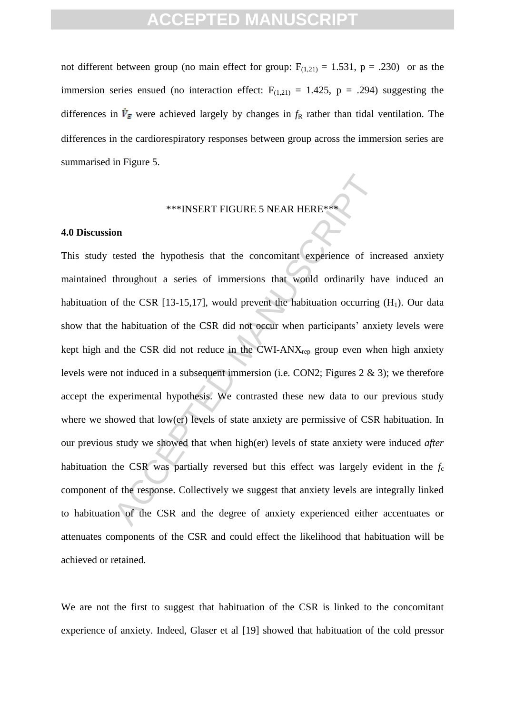not different between group (no main effect for group:  $F_{(1,21)} = 1.531$ , p = .230) or as the immersion series ensued (no interaction effect:  $F_{(1,21)} = 1.425$ , p = .294) suggesting the differences in  $\dot{V}_E$  were achieved largely by changes in  $f_R$  rather than tidal ventilation. The differences in the cardiorespiratory responses between group across the immersion series are summarised in Figure 5.

### \*\*\*INSERT FIGURE 5 NEAR HERE\*\*\*

#### **4.0 Discussion**

\*\*\*INSERT FIGURE 5 NEAR HERE\*\*<br>
on<br>
tested the hypothesis that the concomitant experience of inc<br>
throughout a series of immersions that would ordinarily har<br>
of the CSR [13-15,17], would prevent the habituation occurring This study tested the hypothesis that the concomitant experience of increased anxiety maintained throughout a series of immersions that would ordinarily have induced an habituation of the CSR [13-15,17], would prevent the habituation occurring  $(H_1)$ . Our data show that the habituation of the CSR did not occur when participants" anxiety levels were kept high and the CSR did not reduce in the CWI-AN $X_{\text{rep}}$  group even when high anxiety levels were not induced in a subsequent immersion (i.e. CON2; Figures 2 & 3); we therefore accept the experimental hypothesis. We contrasted these new data to our previous study where we showed that low(er) levels of state anxiety are permissive of CSR habituation. In our previous study we showed that when high(er) levels of state anxiety were induced *after*  habituation the CSR was partially reversed but this effect was largely evident in the *f*<sup>c</sup> component of the response. Collectively we suggest that anxiety levels are integrally linked to habituation of the CSR and the degree of anxiety experienced either accentuates or attenuates components of the CSR and could effect the likelihood that habituation will be achieved or retained.

We are not the first to suggest that habituation of the CSR is linked to the concomitant experience of anxiety. Indeed, Glaser et al [19] showed that habituation of the cold pressor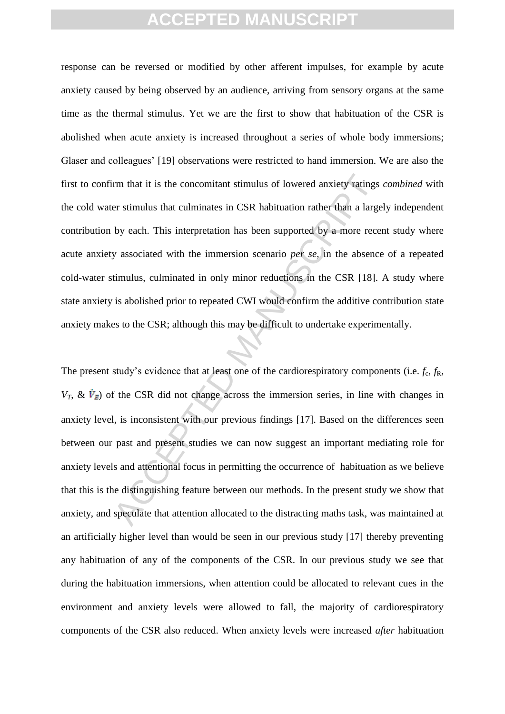response can be reversed or modified by other afferent impulses, for example by acute anxiety caused by being observed by an audience, arriving from sensory organs at the same time as the thermal stimulus. Yet we are the first to show that habituation of the CSR is abolished when acute anxiety is increased throughout a series of whole body immersions; Glaser and colleagues" [19] observations were restricted to hand immersion. We are also the first to confirm that it is the concomitant stimulus of lowered anxiety ratings *combined* with the cold water stimulus that culminates in CSR habituation rather than a largely independent contribution by each. This interpretation has been supported by a more recent study where acute anxiety associated with the immersion scenario *per se*, in the absence of a repeated cold-water stimulus, culminated in only minor reductions in the CSR [18]. A study where state anxiety is abolished prior to repeated CWI would confirm the additive contribution state anxiety makes to the CSR; although this may be difficult to undertake experimentally.

m that it is the concomitant stimulus of lowered anxiety ratings<br>er stimulus that culminates in CSR habituation rather than a large<br>by each. This interpretation has been supported by a more rece<br>y associated with the immer The present study's evidence that at least one of the cardiorespiratory components (i.e.  $f_c$ ,  $f_R$ ,  $V_T$ ,  $\& \dot{V}_F$  of the CSR did not change across the immersion series, in line with changes in anxiety level, is inconsistent with our previous findings [17]. Based on the differences seen between our past and present studies we can now suggest an important mediating role for anxiety levels and attentional focus in permitting the occurrence of habituation as we believe that this is the distinguishing feature between our methods. In the present study we show that anxiety, and speculate that attention allocated to the distracting maths task, was maintained at an artificially higher level than would be seen in our previous study [17] thereby preventing any habituation of any of the components of the CSR. In our previous study we see that during the habituation immersions, when attention could be allocated to relevant cues in the environment and anxiety levels were allowed to fall, the majority of cardiorespiratory components of the CSR also reduced. When anxiety levels were increased *after* habituation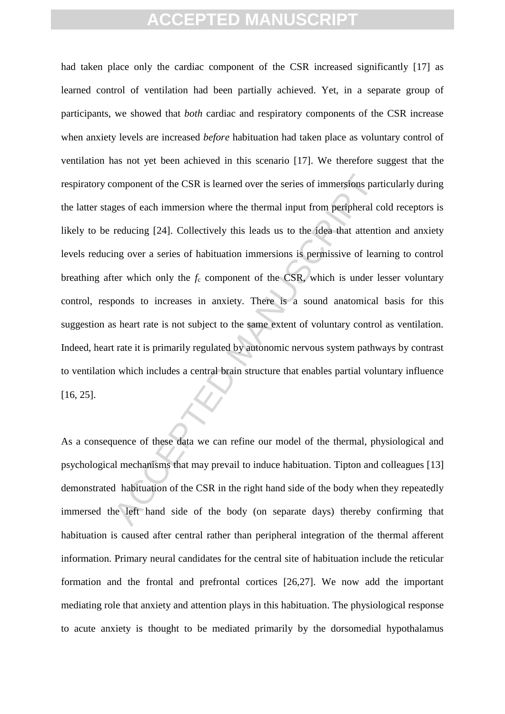omponent of the CSR is learned over the series of immersions parages of each immersion where the thermal input from peripheral creducing [24]. Collectively this leads us to the idea that attenting over a series of habituat had taken place only the cardiac component of the CSR increased significantly [17] as learned control of ventilation had been partially achieved. Yet, in a separate group of participants, we showed that *both* cardiac and respiratory components of the CSR increase when anxiety levels are increased *before* habituation had taken place as voluntary control of ventilation has not yet been achieved in this scenario [17]. We therefore suggest that the respiratory component of the CSR is learned over the series of immersions particularly during the latter stages of each immersion where the thermal input from peripheral cold receptors is likely to be reducing [24]. Collectively this leads us to the idea that attention and anxiety levels reducing over a series of habituation immersions is permissive of learning to control breathing after which only the  $f_c$  component of the CSR, which is under lesser voluntary control, responds to increases in anxiety. There is a sound anatomical basis for this suggestion as heart rate is not subject to the same extent of voluntary control as ventilation. Indeed, heart rate it is primarily regulated by autonomic nervous system pathways by contrast to ventilation which includes a central brain structure that enables partial voluntary influence [16, 25].

As a consequence of these data we can refine our model of the thermal, physiological and psychological mechanisms that may prevail to induce habituation. Tipton and colleagues [13] demonstrated habituation of the CSR in the right hand side of the body when they repeatedly immersed the left hand side of the body (on separate days) thereby confirming that habituation is caused after central rather than peripheral integration of the thermal afferent information. Primary neural candidates for the central site of habituation include the reticular formation and the frontal and prefrontal cortices [26,27]. We now add the important mediating role that anxiety and attention plays in this habituation. The physiological response to acute anxiety is thought to be mediated primarily by the dorsomedial hypothalamus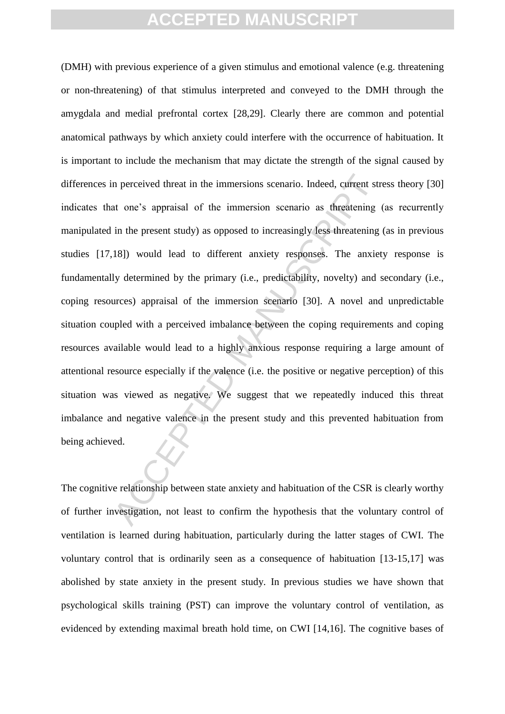In perceived threat in the immersions scenario. Indeed, current strate one's appraisal of the immersion scenario as threatening in the present study) as opposed to increasingly less threatening 18]) would lead to different (DMH) with previous experience of a given stimulus and emotional valence (e.g. threatening or non-threatening) of that stimulus interpreted and conveyed to the DMH through the amygdala and medial prefrontal cortex [28,29]. Clearly there are common and potential anatomical pathways by which anxiety could interfere with the occurrence of habituation. It is important to include the mechanism that may dictate the strength of the signal caused by differences in perceived threat in the immersions scenario. Indeed, current stress theory [30] indicates that one"s appraisal of the immersion scenario as threatening (as recurrently manipulated in the present study) as opposed to increasingly less threatening (as in previous studies [17,18]) would lead to different anxiety responses. The anxiety response is fundamentally determined by the primary (i.e., predictability, novelty) and secondary (i.e., coping resources) appraisal of the immersion scenario [30]. A novel and unpredictable situation coupled with a perceived imbalance between the coping requirements and coping resources available would lead to a highly anxious response requiring a large amount of attentional resource especially if the valence (i.e. the positive or negative perception) of this situation was viewed as negative. We suggest that we repeatedly induced this threat imbalance and negative valence in the present study and this prevented habituation from being achieved.

The cognitive relationship between state anxiety and habituation of the CSR is clearly worthy of further investigation, not least to confirm the hypothesis that the voluntary control of ventilation is learned during habituation, particularly during the latter stages of CWI. The voluntary control that is ordinarily seen as a consequence of habituation [13-15,17] was abolished by state anxiety in the present study. In previous studies we have shown that psychological skills training (PST) can improve the voluntary control of ventilation, as evidenced by extending maximal breath hold time, on CWI [14,16]. The cognitive bases of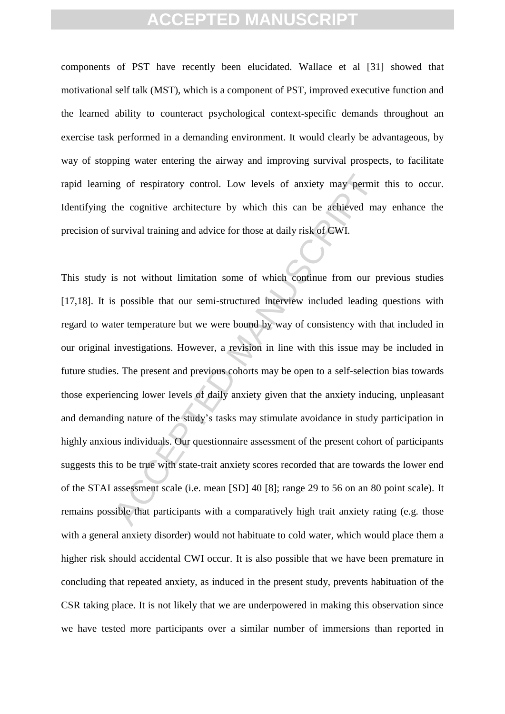components of PST have recently been elucidated. Wallace et al [31] showed that motivational self talk (MST), which is a component of PST, improved executive function and the learned ability to counteract psychological context-specific demands throughout an exercise task performed in a demanding environment. It would clearly be advantageous, by way of stopping water entering the airway and improving survival prospects, to facilitate rapid learning of respiratory control. Low levels of anxiety may permit this to occur. Identifying the cognitive architecture by which this can be achieved may enhance the precision of survival training and advice for those at daily risk of CWI.

and of respiratory control. Low levels of anxiety may permit<br>the cognitive architecture by which this can be achieved ma<br>survival training and advice for those at daily risk of CWI.<br>is not without limitation some of which This study is not without limitation some of which continue from our previous studies [17,18]. It is possible that our semi-structured interview included leading questions with regard to water temperature but we were bound by way of consistency with that included in our original investigations. However, a revision in line with this issue may be included in future studies. The present and previous cohorts may be open to a self-selection bias towards those experiencing lower levels of daily anxiety given that the anxiety inducing, unpleasant and demanding nature of the study"s tasks may stimulate avoidance in study participation in highly anxious individuals. Our questionnaire assessment of the present cohort of participants suggests this to be true with state-trait anxiety scores recorded that are towards the lower end of the STAI assessment scale (i.e. mean [SD] 40 [8]; range 29 to 56 on an 80 point scale). It remains possible that participants with a comparatively high trait anxiety rating (e.g. those with a general anxiety disorder) would not habituate to cold water, which would place them a higher risk should accidental CWI occur. It is also possible that we have been premature in concluding that repeated anxiety, as induced in the present study, prevents habituation of the CSR taking place. It is not likely that we are underpowered in making this observation since we have tested more participants over a similar number of immersions than reported in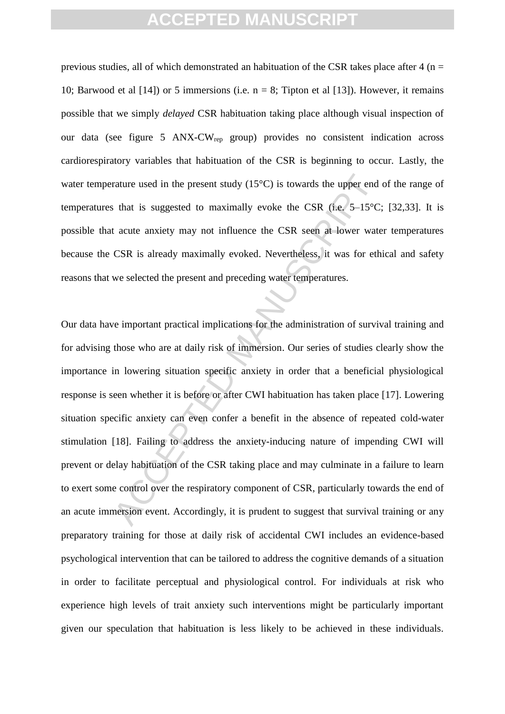previous studies, all of which demonstrated an habituation of the CSR takes place after  $4$  (n = 10; Barwood et al  $(141)$  or 5 immersions (i.e.  $n = 8$ ; Tipton et al  $(131)$ ). However, it remains possible that we simply *delayed* CSR habituation taking place although visual inspection of our data (see figure 5 ANX-CWrep group) provides no consistent indication across cardiorespiratory variables that habituation of the CSR is beginning to occur. Lastly, the water temperature used in the present study (15<sup>o</sup>C) is towards the upper end of the range of temperatures that is suggested to maximally evoke the CSR (i.e.  $5-15^{\circ}$ C; [32,33]. It is possible that acute anxiety may not influence the CSR seen at lower water temperatures because the CSR is already maximally evoked. Nevertheless, it was for ethical and safety reasons that we selected the present and preceding water temperatures.

rature used in the present study (15°C) is towards the upper end<br>s that is suggested to maximally evoke the CSR (i.e. 5–15°C<br>t acute anxiety may not influence the CSR seen at lower wate<br>CSR is already maximally evoked. Nev Our data have important practical implications for the administration of survival training and for advising those who are at daily risk of immersion. Our series of studies clearly show the importance in lowering situation specific anxiety in order that a beneficial physiological response is seen whether it is before or after CWI habituation has taken place [17]. Lowering situation specific anxiety can even confer a benefit in the absence of repeated cold-water stimulation [18]. Failing to address the anxiety-inducing nature of impending CWI will prevent or delay habituation of the CSR taking place and may culminate in a failure to learn to exert some control over the respiratory component of CSR, particularly towards the end of an acute immersion event. Accordingly, it is prudent to suggest that survival training or any preparatory training for those at daily risk of accidental CWI includes an evidence-based psychological intervention that can be tailored to address the cognitive demands of a situation in order to facilitate perceptual and physiological control. For individuals at risk who experience high levels of trait anxiety such interventions might be particularly important given our speculation that habituation is less likely to be achieved in these individuals.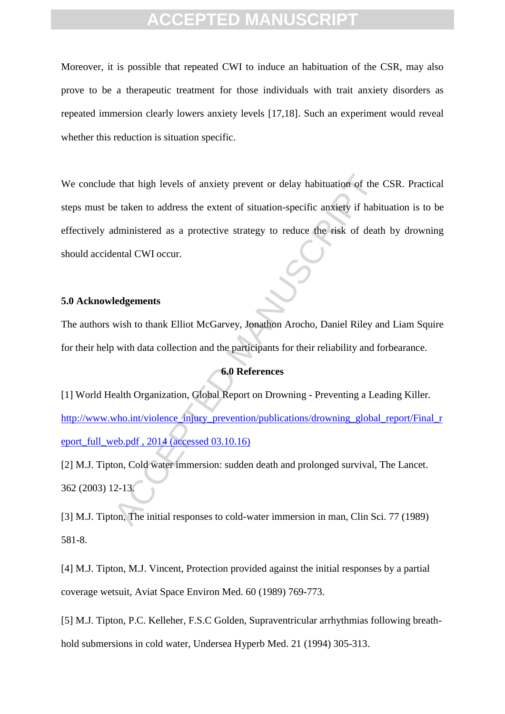Moreover, it is possible that repeated CWI to induce an habituation of the CSR, may also prove to be a therapeutic treatment for those individuals with trait anxiety disorders as repeated immersion clearly lowers anxiety levels [17,18]. Such an experiment would reveal whether this reduction is situation specific.

e that high levels of anxiety prevent or delay habituation of the<br>
e taken to address the extent of situation-specific anxiety if habituation<br>
deministered as a protective strategy to reduce the risk of death<br>
ental CWI oc We conclude that high levels of anxiety prevent or delay habituation of the CSR. Practical steps must be taken to address the extent of situation-specific anxiety if habituation is to be effectively administered as a protective strategy to reduce the risk of death by drowning should accidental CWI occur.

### **5.0 Acknowledgements**

The authors wish to thank Elliot McGarvey, Jonathon Arocho, Daniel Riley and Liam Squire for their help with data collection and the participants for their reliability and forbearance.

#### **6.0 References**

[1] World Health Organization, Global Report on Drowning - Preventing a Leading Killer. http://www.who.int/violence\_injury\_prevention/publications/drowning\_global\_report/Final\_r [eport\\_full\\_web.pdf](http://www.who.int/violence_injury_prevention/publications/drowning_global_report/Final_report_full_web.pdf) , 2014 (accessed 03.10.16)

[2] M.J. Tipton, Cold water immersion: sudden death and prolonged survival, The Lancet. 362 (2003) 12-13.

[3] M.J. Tipton, The initial responses to cold-water immersion in man, Clin Sci. 77 (1989) 581-8.

[4] M.J. Tipton, M.J. Vincent, Protection provided against the initial responses by a partial coverage wetsuit, Aviat Space Environ Med. 60 (1989) 769-773.

[5] M.J. Tipton, P.C. Kelleher, F.S.C Golden, Supraventricular arrhythmias following breathhold submersions in cold water, Undersea Hyperb Med. 21 (1994) 305-313.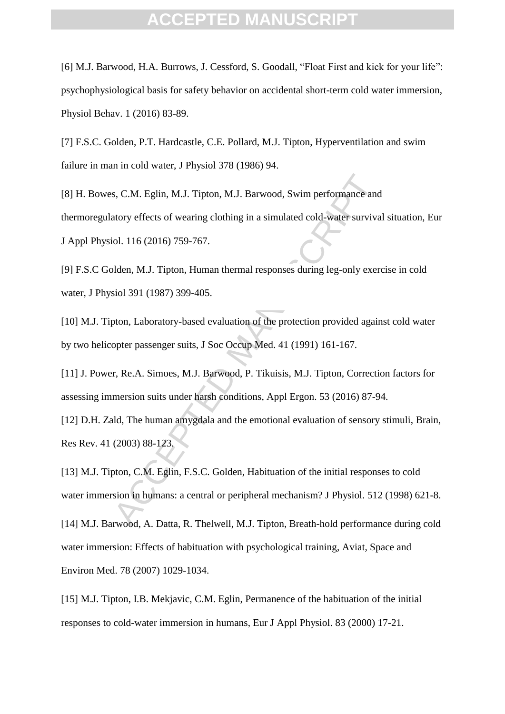[6] M.J. Barwood, H.A. Burrows, J. Cessford, S. Goodall, "Float First and kick for your life": psychophysiological basis for safety behavior on accidental short-term cold water immersion, Physiol Behav. 1 (2016) 83-89.

[7] F.S.C. Golden, P.T. Hardcastle, C.E. Pollard, M.J. Tipton, Hyperventilation and swim failure in man in cold water, J Physiol 378 (1986) 94.

s, C.M. Eglin, M.J. Tipton, M.J. Barwood, Swim performance and<br>atory effects of wearing clothing in a simulated cold-water surviva<br>ol. 116 (2016) 759-767.<br>alden, M.J. Tipton, Human thermal responses during leg-only exercic [8] H. Bowes, C.M. Eglin, M.J. Tipton, M.J. Barwood, Swim performance and thermoregulatory effects of wearing clothing in a simulated cold-water survival situation, Eur J Appl Physiol. 116 (2016) 759-767.

[9] F.S.C Golden, M.J. Tipton, Human thermal responses during leg-only exercise in cold water, J Physiol 391 (1987) 399-405.

[10] M.J. Tipton, Laboratory-based evaluation of the protection provided against cold water by two helicopter passenger suits, J Soc Occup Med. 41 (1991) 161-167.

[11] J. Power, Re.A. Simoes, M.J. Barwood, P. Tikuisis, M.J. Tipton, Correction factors for assessing immersion suits under harsh conditions, Appl Ergon. 53 (2016) 87-94.

[12] D.H. Zald, The human amygdala and the emotional evaluation of sensory stimuli, Brain, Res Rev. 41 (2003) 88-123.

[13] M.J. Tipton, C.M. Eglin, F.S.C. Golden, Habituation of the initial responses to cold water immersion in humans: a central or peripheral mechanism? J Physiol. 512 (1998) 621-8.

[14] M.J. Barwood, A. Datta, R. Thelwell, M.J. Tipton, Breath-hold performance during cold water immersion: Effects of habituation with psychological training, Aviat, Space and Environ Med. 78 (2007) 1029-1034.

[15] M.J. Tipton, I.B. Mekjavic, C.M. Eglin, Permanence of the habituation of the initial responses to cold-water immersion in humans, Eur J Appl Physiol. 83 (2000) 17-21.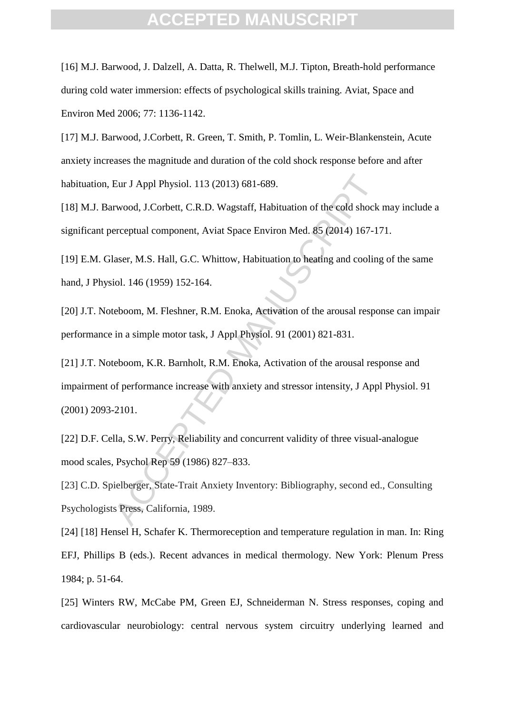[16] M.J. Barwood, J. Dalzell, A. Datta, R. Thelwell, M.J. Tipton, Breath-hold performance during cold water immersion: effects of psychological skills training. Aviat, Space and Environ Med 2006; 77: 1136-1142.

[17] M.J. Barwood, J.Corbett, R. Green, T. Smith, P. Tomlin, L. Weir-Blankenstein, Acute anxiety increases the magnitude and duration of the cold shock response before and after habituation, Eur J Appl Physiol. 113 (2013) 681-689.

[18] M.J. Barwood, J.Corbett, C.R.D. Wagstaff, Habituation of the cold shock may include a significant perceptual component, Aviat Space Environ Med. 85 (2014) 167-171.

[19] E.M. Glaser, M.S. Hall, G.C. Whittow, Habituation to heating and cooling of the same hand, J Physiol. 146 (1959) 152-164.

[20] J.T. Noteboom, M. Fleshner, R.M. Enoka, Activation of the arousal response can impair performance in a simple motor task, J Appl Physiol. 91 (2001) 821-831.

Eur J Appl Physiol. 113 (2013) 681-689.<br>
Irwood, J.Corbett, C.R.D. Wagstaff, Habituation of the cold shock<br>
erceptual component, Aviat Space Environ Med. 85 (2014) 167-17<br>
laser, M.S. Hall, G.C. Whittow, Habituation to hea [21] J.T. Noteboom, K.R. Barnholt, R.M. Enoka, Activation of the arousal response and impairment of performance increase with anxiety and stressor intensity, J Appl Physiol. 91 (2001) 2093-2101.

[22] D.F. Cella, S.W. Perry, Reliability and concurrent validity of three visual-analogue mood scales, Psychol Rep 59 (1986) 827–833.

[23] C.D. Spielberger, State-Trait Anxiety Inventory: Bibliography, second ed., Consulting Psychologists Press, California, 1989.

[24] [18] Hensel H, Schafer K. Thermoreception and temperature regulation in man. In: Ring EFJ, Phillips B (eds.). Recent advances in medical thermology. New York: Plenum Press 1984; p. 51-64.

[25] Winters RW, McCabe PM, Green EJ, Schneiderman N. Stress responses, coping and cardiovascular neurobiology: central nervous system circuitry underlying learned and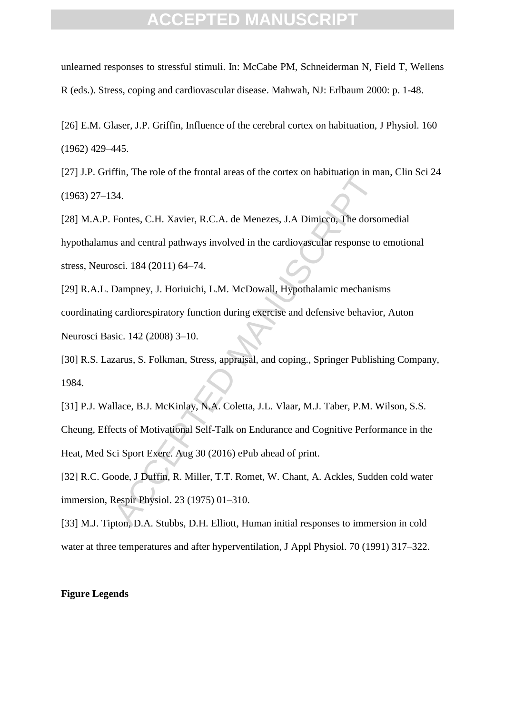unlearned responses to stressful stimuli. In: McCabe PM, Schneiderman N, Field T, Wellens R (eds.). Stress, coping and cardiovascular disease. Mahwah, NJ: Erlbaum 2000: p. 1-48.

[26] E.M. Glaser, J.P. Griffin, Influence of the cerebral cortex on habituation, J Physiol. 160 (1962) 429–445.

[27] J.P. Griffin, The role of the frontal areas of the cortex on habituation in man, Clin Sci 24 (1963) 27–134.

[28] M.A.P. Fontes, C.H. Xavier, R.C.A. de Menezes, J.A Dimicco, The dorsomedial hypothalamus and central pathways involved in the cardiovascular response to emotional stress, Neurosci. 184 (2011) 64–74.

1111, The fole of the Holida aleas of the Corlex of Habituation in the<br>34.<br>34.<br>Tontes, C.H. Xavier, R.C.A. de Menezes, J.A Dimicco, The dorso<br>18 and central pathways involved in the cardiovascular response to<br>1861 184 (201 [29] R.A.L. Dampney, J. Horiuichi, L.M. McDowall, Hypothalamic mechanisms coordinating cardiorespiratory function during exercise and defensive behavior, Auton Neurosci Basic. 142 (2008) 3–10.

[30] R.S. Lazarus, S. Folkman, Stress, appraisal, and coping., Springer Publishing Company, 1984.

[31] P.J. Wallace, B.J. McKinlay, N.A. Coletta, J.L. Vlaar, M.J. Taber, P.M. Wilson, S.S.

Cheung, Effects of Motivational Self-Talk on Endurance and Cognitive Performance in the Heat, Med Sci Sport Exerc. Aug 30 (2016) ePub ahead of print.

[32] R.C. Goode, J Duffin, R. Miller, T.T. Romet, W. Chant, A. Ackles, Sudden cold water immersion, Respir Physiol. 23 (1975) 01–310.

[33] M.J. Tipton, D.A. Stubbs, D.H. Elliott, Human initial responses to immersion in cold water at three temperatures and after hyperventilation, J Appl Physiol. 70 (1991) 317–322.

#### **Figure Legends**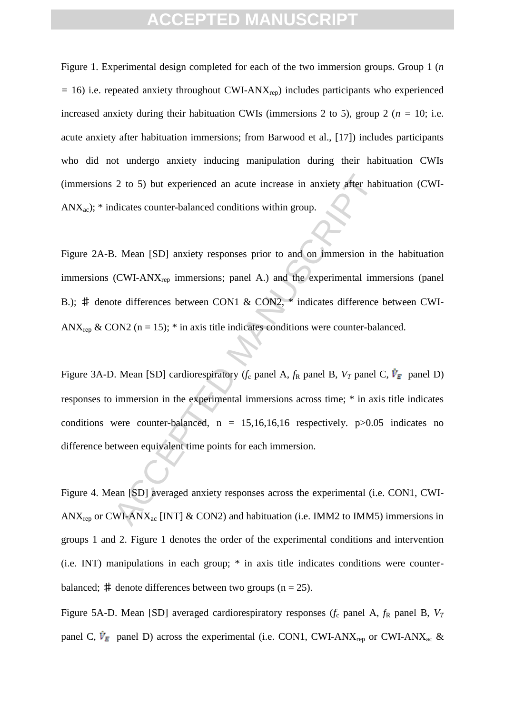Figure 1. Experimental design completed for each of the two immersion groups. Group 1 (*n =* 16) i.e. repeated anxiety throughout CWI-ANXrep) includes participants who experienced increased anxiety during their habituation CWIs (immersions 2 to 5), group 2 (*n =* 10; i.e. acute anxiety after habituation immersions; from Barwood et al., [17]) includes participants who did not undergo anxiety inducing manipulation during their habituation CWIs (immersions 2 to 5) but experienced an acute increase in anxiety after habituation (CWI- $ANX_{ac}$ ;  $*$  indicates counter-balanced conditions within group.

2 to 5) but experienced an acute increase in anxiety after habendicates counter-balanced conditions within group.<br>
3. Mean [SD] anxiety responses prior to and on immersion in<br>
(CWI-ANX<sub>rep</sub> immersions; panel A.) and the e Figure 2A-B. Mean [SD] anxiety responses prior to and on immersion in the habituation immersions (CWI-ANX<sub>rep</sub> immersions; panel A.) and the experimental immersions (panel B.); # denote differences between CON1 & CON2, \* indicates difference between CWI-ANX<sub>rep</sub> & CON2 (n = 15); \* in axis title indicates conditions were counter-balanced.

Figure 3A-D. Mean [SD] cardiorespiratory ( $f_c$  panel A,  $f_R$  panel B,  $V_T$  panel C,  $\dot{V}_E$  panel D) responses to immersion in the experimental immersions across time; \* in axis title indicates conditions were counter-balanced,  $n = 15,16,16,16$  respectively.  $p > 0.05$  indicates no difference between equivalent time points for each immersion.

Figure 4. Mean [SD] averaged anxiety responses across the experimental (i.e. CON1, CWI-ANX<sub>rep</sub> or CWI-ANX<sub>ac</sub> [INT] & CON2) and habituation (i.e. IMM2 to IMM5) immersions in groups 1 and 2. Figure 1 denotes the order of the experimental conditions and intervention (i.e. INT) manipulations in each group; \* in axis title indicates conditions were counterbalanced;  $\#$  denote differences between two groups (n = 25).

Figure 5A-D. Mean [SD] averaged cardiorespiratory responses  $(f_c$  panel A,  $f_R$  panel B,  $V_T$ panel C,  $\dot{V}_E$  panel D) across the experimental (i.e. CON1, CWI-ANX<sub>rep</sub> or CWI-ANX<sub>ac</sub> &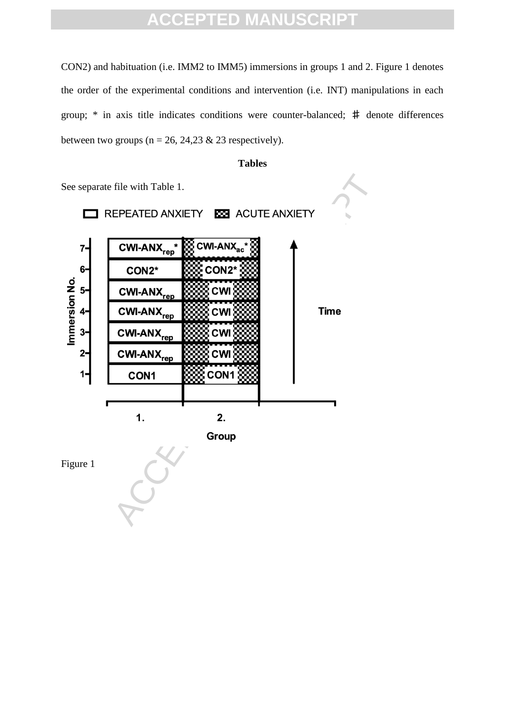CON2) and habituation (i.e. IMM2 to IMM5) immersions in groups 1 and 2. Figure 1 denotes the order of the experimental conditions and intervention (i.e. INT) manipulations in each group; \* in axis title indicates conditions were counter-balanced; ♯ denote differences between two groups ( $n = 26$ , 24,23 & 23 respectively).





Figure 1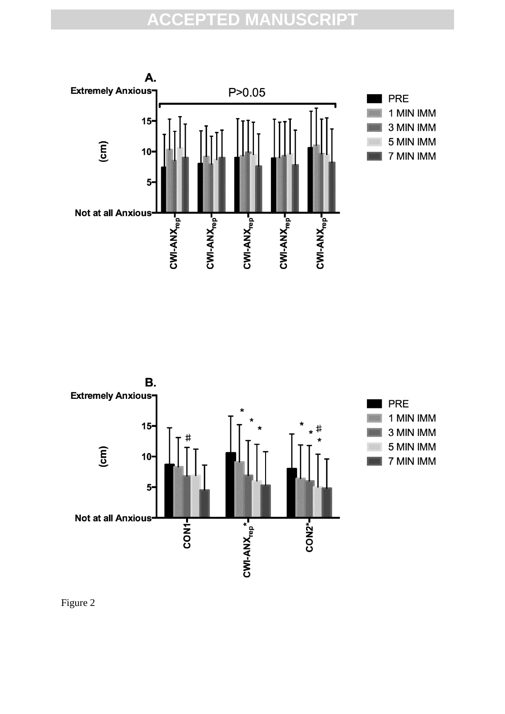



Figure 2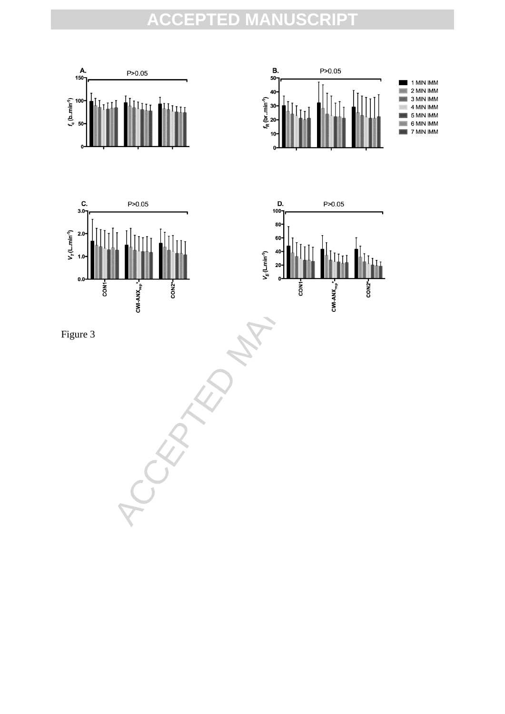







Figure 3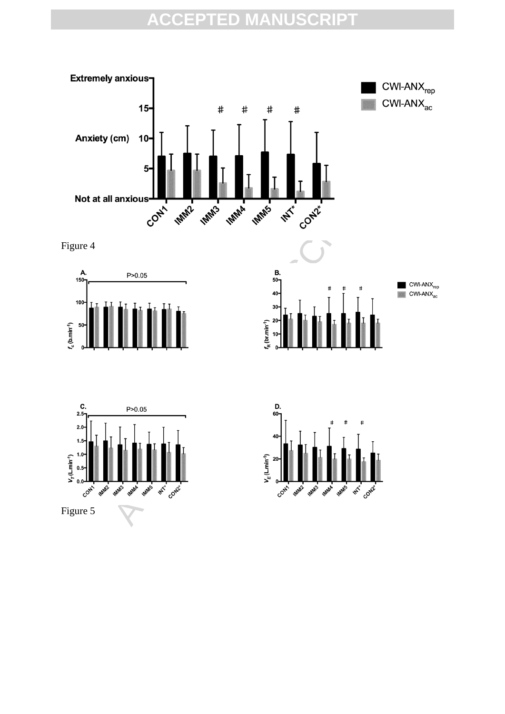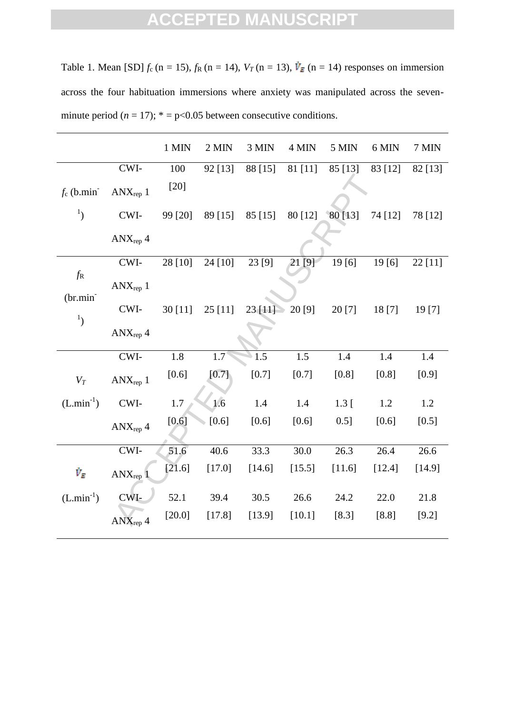Table 1. Mean [SD]  $f_c$  (n = 15),  $f_R$  (n = 14),  $V_T$  (n = 13),  $\dot{V}_E$  (n = 14) responses on immersion across the four habituation immersions where anxiety was manipulated across the sevenminute period  $(n = 17)$ ;  $* = p < 0.05$  between consecutive conditions.

|                                |                              | 1 MIN    | 2 MIN   | 3 MIN   | 4 MIN    | 5 MIN     | 6 MIN   | 7 MIN   |
|--------------------------------|------------------------------|----------|---------|---------|----------|-----------|---------|---------|
|                                | CWI-                         | 100      | 92 [13] | 88 [15] | 81 [11]  | 85 [13]   | 83 [12] | 82 [13] |
| $f_c$ (b.min)                  | $ANX_{\text{rep}}$ 1         | $[20]$   |         |         |          |           |         |         |
| $\mathbf{1}_{\left( \right) }$ | CWI-                         | 99 [20]  | 89 [15] | 85 [15] | 80 [12]  | $80$ [13] | 74 [12] | 78 [12] |
|                                | $\text{ANX}_{\text{rep}}\,4$ |          |         |         |          |           |         |         |
|                                | CWI-                         | 28 [10]  | 24 [10] | 23 [9]  | 21 [9]   | 19[6]     | 19[6]   | 22 [11] |
| $f_{\rm R}$<br>$(br.min-)$     | $ANX_{rep}$ 1                |          |         |         |          |           |         |         |
|                                | CWI-                         | 30 [11]  | 25[11]  | 23[11]  | 20 [9]   | 20 [7]    | 18 [7]  | 19[7]   |
| $\mathbf{1}_{\mathcal{L}}$     | $ANX_{rep}$ 4                |          |         |         |          |           |         |         |
|                                | CWI-                         | 1.8      | 1.7     | 1.5     | 1.5      | 1.4       | 1.4     | 1.4     |
| $V_T$                          | $ANX_{rep}$ 1                | $[0.6]$  | $[0.7]$ | $[0.7]$ | $[0.7]$  | [0.8]     | [0.8]   | [0.9]   |
| $(L.min^{-1})$                 | CWI-                         | 1.7      | 1.6     | 1.4     | 1.4      | $1.3 \,[$ | 1.2     | 1.2     |
|                                | $ANX_{rep}$ 4                | $[0.6]$  | $[0.6]$ | [0.6]   | [0.6]    | 0.5]      | [0.6]   | [0.5]   |
|                                | CWI-                         | 51.6     | 40.6    | 33.3    | 30.0     | 26.3      | 26.4    | 26.6    |
| $\dot{V}_E$                    | $ANX_{rep}$ <sup>1</sup>     | [21.6]   | [17.0]  | [14.6]  | [15.5]   | [11.6]    | [12.4]  | [14.9]  |
| $(L.min^{-1})$                 | CWI-                         | 52.1     | 39.4    | 30.5    | 26.6     | 24.2      | 22.0    | 21.8    |
|                                | $\text{ANX}_{\text{rep}}\,4$ | $[20.0]$ | [17.8]  | [13.9]  | $[10.1]$ | $[8.3]$   | $[8.8]$ | $[9.2]$ |